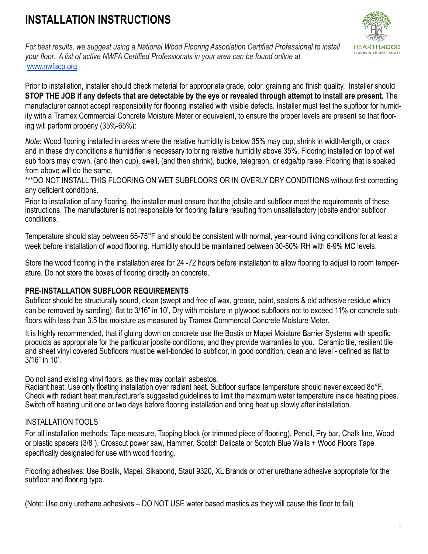# **INSTALLATION INSTRUCTIONS**



*For best results, we suggest using a National Wood Flooring Association Certified Professional to install your floor. A list of active NWFA Certified Professionals in your area can be found online at*  [www.nwfacp.org](http://www.nwfacp.org/)

Prior to installation, installer should check material for appropriate grade, color, graining and finish quality. Installer should **STOP THE JOB if any defects that are detectable by the eye or revealed through attempt to install are present.** The manufacturer cannot accept responsibility for flooring installed with visible defects. Installer must test the subfloor for humidity with a Tramex Commercial Concrete Moisture Meter or equivalent, to ensure the proper levels are present so that flooring will perform properly (35%-65%):

*Note*: Wood flooring installed in areas where the relative humidity is below 35% may cup, shrink in width/length, or crack and in these dry conditions a humidifier is necessary to bring relative humidity above 35%. Flooring installed on top of wet sub floors may crown, (and then cup), swell, (and then shrink), buckle, telegraph, or edge/tip raise. Flooring that is soaked from above will do the same.

\*\*\*DO NOT INSTALL THIS FLOORING ON WET SUBFLOORS OR IN OVERLY DRY CONDITIONS without first correcting any deficient conditions.

Prior to installation of any flooring, the installer must ensure that the jobsite and subfloor meet the requirements of these instructions. The manufacturer is not responsible for flooring failure resulting from unsatisfactory jobsite and/or subfloor conditions.

Temperature should stay between 65-75°F and should be consistent with normal, year-round living conditions for at least a week before installation of wood flooring. Humidity should be maintained between 30-50% RH with 6-9% MC levels.

Store the wood flooring in the installation area for 24 -72 hours before installation to allow flooring to adjust to room temperature. Do not store the boxes of flooring directly on concrete.

## **PRE-INSTALLATION SUBFLOOR REQUIREMENTS**

Subfloor should be structurally sound, clean (swept and free of wax, grease, paint, sealers & old adhesive residue which can be removed by sanding), flat to 3/16" in 10', Dry with moisture in plywood subfloors not to exceed 11% or concrete subfloors with less than 3.5 lbs moisture as measured by Tramex Commercial Concrete Moisture Meter.

It is highly recommended, that if gluing down on concrete use the Bostik or Mapei Moisture Barrier Systems with specific products as appropriate for the particular jobsite conditions, and they provide warranties to you. Ceramic tile, resilient tile and sheet vinyl covered Subfloors must be well-bonded to subfloor, in good condition, clean and level - defined as flat to 3/16" in 10'.

Do not sand existing vinyl floors, as they may contain asbestos.

Radiant heat: Use only floating installation over radiant heat. Subfloor surface temperature should never exceed 8o°F. Check with radiant heat manufacturer's suggested guidelines to limit the maximum water temperature inside heating pipes. Switch off heating unit one or two days before flooring installation and bring heat up slowly after installation.

### INSTALLATION TOOLS

For all installation methods: Tape measure, Tapping block (or trimmed piece of flooring), Pencil, Pry bar, Chalk line, Wood or plastic spacers (3/8"), Crosscut power saw, Hammer, Scotch Delicate or Scotch Blue Walls + Wood Floors Tape specifically designated for use with wood flooring.

Flooring adhesives: Use Bostik, Mapei, Sikabond, Stauf 9320, XL Brands or other urethane adhesive appropriate for the subfloor and flooring type.

(Note: Use only urethane adhesives – DO NOT USE water based mastics as they will cause this floor to fail)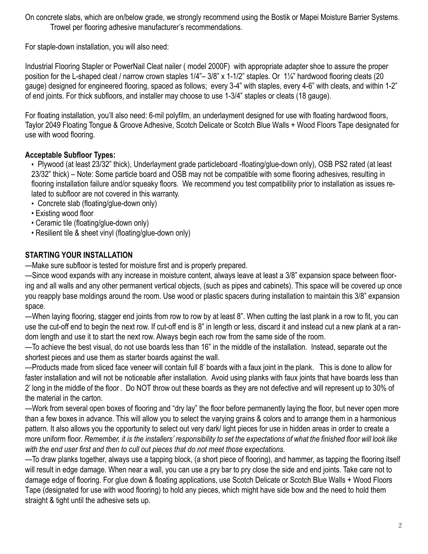On concrete slabs, which are on/below grade, we strongly recommend using the Bostik or Mapei Moisture Barrier Systems. Trowel per flooring adhesive manufacturer's recommendations.

For staple-down installation, you will also need:

Industrial Flooring Stapler or PowerNail Cleat nailer ( model 2000F) with appropriate adapter shoe to assure the proper position for the L-shaped cleat / narrow crown staples 1/4"– 3/8" x 1-1/2" staples. Or 1¼" hardwood flooring cleats (20 gauge) designed for engineered flooring, spaced as follows; every 3-4" with staples, every 4-6" with cleats, and within 1-2" of end joints. For thick subfloors, and installer may choose to use 1-3/4" staples or cleats (18 gauge).

For floating installation, you'll also need: 6-mil polyfilm, an underlayment designed for use with floating hardwood floors, Taylor 2049 Floating Tongue & Groove Adhesive, Scotch Delicate or Scotch Blue Walls + Wood Floors Tape designated for use with wood flooring.

# **Acceptable Subfloor Types:**

• Plywood (at least 23/32" thick), Underlayment grade particleboard -floating/glue-down only), OSB PS2 rated (at least 23/32" thick) – Note: Some particle board and OSB may not be compatible with some flooring adhesives, resulting in flooring installation failure and/or squeaky floors. We recommend you test compatibility prior to installation as issues related to subfloor are not covered in this warranty.

- Concrete slab (floating/glue-down only)
- Existing wood floor
- Ceramic tile (floating/glue-down only)
- Resilient tile & sheet vinyl (floating/glue-down only)

# **STARTING YOUR INSTALLATION**

—Make sure subfloor is tested for moisture first and is properly prepared.

—Since wood expands with any increase in moisture content, always leave at least a 3/8" expansion space between flooring and all walls and any other permanent vertical objects, (such as pipes and cabinets). This space will be covered up once you reapply base moldings around the room. Use wood or plastic spacers during installation to maintain this 3/8" expansion space.

—When laying flooring, stagger end joints from row to row by at least 8". When cutting the last plank in a row to fit, you can use the cut-off end to begin the next row. If cut-off end is 8" in length or less, discard it and instead cut a new plank at a random length and use it to start the next row. Always begin each row from the same side of the room.

—To achieve the best visual, do not use boards less than 16" in the middle of the installation. Instead, separate out the shortest pieces and use them as starter boards against the wall.

—Products made from sliced face veneer will contain full 8' boards with a faux joint in the plank. This is done to allow for faster installation and will not be noticeable after installation. Avoid using planks with faux joints that have boards less than 2' long in the middle of the floor. Do NOT throw out these boards as they are not defective and will represent up to 30% of the material in the carton.

—Work from several open boxes of flooring and "dry lay" the floor before permanently laying the floor, but never open more than a few boxes in advance. This will allow you to select the varying grains & colors and to arrange them in a harmonious pattern. It also allows you the opportunity to select out very dark/ light pieces for use in hidden areas in order to create a more uniform floor. *Remember, it is the installers' responsibility to set the expectations of what the finished floor will look like with the end user first and then to cull out pieces that do not meet those expectations.* 

—To draw planks together, always use a tapping block, (a short piece of flooring), and hammer, as tapping the flooring itself will result in edge damage. When near a wall, you can use a pry bar to pry close the side and end joints. Take care not to damage edge of flooring. For glue down & floating applications, use Scotch Delicate or Scotch Blue Walls + Wood Floors Tape (designated for use with wood flooring) to hold any pieces, which might have side bow and the need to hold them straight & tight until the adhesive sets up.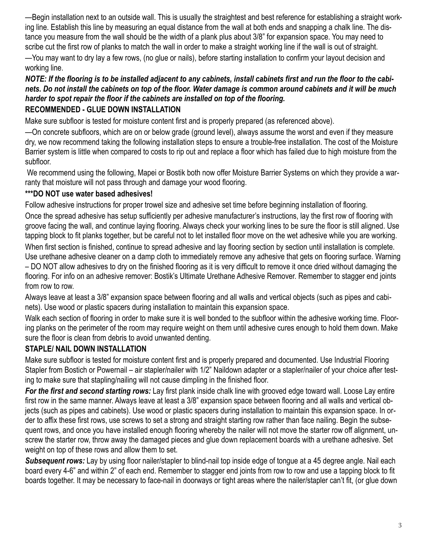—Begin installation next to an outside wall. This is usually the straightest and best reference for establishing a straight working line. Establish this line by measuring an equal distance from the wall at both ends and snapping a chalk line. The distance you measure from the wall should be the width of a plank plus about 3/8" for expansion space. You may need to scribe cut the first row of planks to match the wall in order to make a straight working line if the wall is out of straight.

—You may want to dry lay a few rows, (no glue or nails), before starting installation to confirm your layout decision and working line.

## *NOTE: If the flooring is to be installed adjacent to any cabinets, install cabinets first and run the floor to the cabinets. Do not install the cabinets on top of the floor. Water damage is common around cabinets and it will be much harder to spot repair the floor if the cabinets are installed on top of the flooring.*

## **RECOMMENDED - GLUE DOWN INSTALLATION**

Make sure subfloor is tested for moisture content first and is properly prepared (as referenced above).

—On concrete subfloors, which are on or below grade (ground level), always assume the worst and even if they measure dry, we now recommend taking the following installation steps to ensure a trouble-free installation. The cost of the Moisture Barrier system is little when compared to costs to rip out and replace a floor which has failed due to high moisture from the subfloor.

 We recommend using the following, Mapei or Bostik both now offer Moisture Barrier Systems on which they provide a warranty that moisture will not pass through and damage your wood flooring.

## **\*\*\*DO NOT use water based adhesives!**

Follow adhesive instructions for proper trowel size and adhesive set time before beginning installation of flooring.

Once the spread adhesive has setup sufficiently per adhesive manufacturer's instructions, lay the first row of flooring with groove facing the wall, and continue laying flooring. Always check your working lines to be sure the floor is still aligned. Use tapping block to fit planks together, but be careful not to let installed floor move on the wet adhesive while you are working. When first section is finished, continue to spread adhesive and lay flooring section by section until installation is complete. Use urethane adhesive cleaner on a damp cloth to immediately remove any adhesive that gets on flooring surface. Warning – DO NOT allow adhesives to dry on the finished flooring as it is very difficult to remove it once dried without damaging the

flooring. For info on an adhesive remover: Bostik's Ultimate Urethane Adhesive Remover. Remember to stagger end joints from row to row.

Always leave at least a 3/8" expansion space between flooring and all walls and vertical objects (such as pipes and cabinets). Use wood or plastic spacers during installation to maintain this expansion space.

Walk each section of flooring in order to make sure it is well bonded to the subfloor within the adhesive working time. Flooring planks on the perimeter of the room may require weight on them until adhesive cures enough to hold them down. Make sure the floor is clean from debris to avoid unwanted denting.

# **STAPLE/ NAIL DOWN INSTALLATION**

Make sure subfloor is tested for moisture content first and is properly prepared and documented. Use Industrial Flooring Stapler from Bostich or Powernail – air stapler/nailer with 1/2" Naildown adapter or a stapler/nailer of your choice after testing to make sure that stapling/nailing will not cause dimpling in the finished floor.

*For the first and second starting rows:* Lay first plank inside chalk line with grooved edge toward wall. Loose Lay entire first row in the same manner. Always leave at least a 3/8" expansion space between flooring and all walls and vertical objects (such as pipes and cabinets). Use wood or plastic spacers during installation to maintain this expansion space. In order to affix these first rows, use screws to set a strong and straight starting row rather than face nailing. Begin the subsequent rows, and once you have installed enough flooring whereby the nailer will not move the starter row off alignment, unscrew the starter row, throw away the damaged pieces and glue down replacement boards with a urethane adhesive. Set weight on top of these rows and allow them to set.

*Subsequent rows:* Lay by using floor nailer/stapler to blind-nail top inside edge of tongue at a 45 degree angle. Nail each board every 4-6" and within 2" of each end. Remember to stagger end joints from row to row and use a tapping block to fit boards together. It may be necessary to face-nail in doorways or tight areas where the nailer/stapler can't fit, (or glue down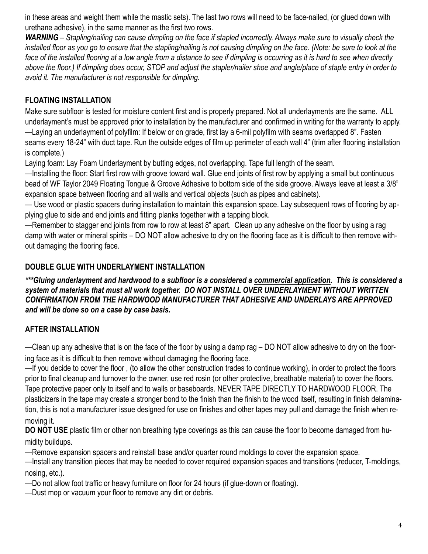in these areas and weight them while the mastic sets). The last two rows will need to be face-nailed, (or glued down with urethane adhesive), in the same manner as the first two rows.

*WARNING – Stapling/nailing can cause dimpling on the face if stapled incorrectly. Always make sure to visually check the*  installed floor as you go to ensure that the stapling/nailing is not causing dimpling on the face. (Note: be sure to look at the *face of the installed flooring at a low angle from a distance to see if dimpling is occurring as it is hard to see when directly above the floor.) If dimpling does occur, STOP and adjust the stapler/nailer shoe and angle/place of staple entry in order to avoid it. The manufacturer is not responsible for dimpling.* 

# **FLOATING INSTALLATION**

Make sure subfloor is tested for moisture content first and is properly prepared. Not all underlayments are the same. ALL underlayment's must be approved prior to installation by the manufacturer and confirmed in writing for the warranty to apply. —Laying an underlayment of polyfilm: If below or on grade, first lay a 6-mil polyfilm with seams overlapped 8". Fasten seams every 18-24" with duct tape. Run the outside edges of film up perimeter of each wall 4" (trim after flooring installation is complete.)

Laying foam: Lay Foam Underlayment by butting edges, not overlapping. Tape full length of the seam.

—Installing the floor: Start first row with groove toward wall. Glue end joints of first row by applying a small but continuous bead of WF Taylor 2049 Floating Tongue & Groove Adhesive to bottom side of the side groove. Always leave at least a 3/8" expansion space between flooring and all walls and vertical objects (such as pipes and cabinets).

— Use wood or plastic spacers during installation to maintain this expansion space. Lay subsequent rows of flooring by applying glue to side and end joints and fitting planks together with a tapping block.

—Remember to stagger end joints from row to row at least 8" apart. Clean up any adhesive on the floor by using a rag damp with water or mineral spirits – DO NOT allow adhesive to dry on the flooring face as it is difficult to then remove without damaging the flooring face.

# **DOUBLE GLUE WITH UNDERLAYMENT INSTALLATION**

*\*\*\*Gluing underlayment and hardwood to a subfloor is a considered a commercial application. This is considered a system of materials that must all work together. DO NOT INSTALL OVER UNDERLAYMENT WITHOUT WRITTEN CONFIRMATION FROM THE HARDWOOD MANUFACTURER THAT ADHESIVE AND UNDERLAYS ARE APPROVED and will be done so on a case by case basis.* 

# **AFTER INSTALLATION**

—Clean up any adhesive that is on the face of the floor by using a damp rag – DO NOT allow adhesive to dry on the flooring face as it is difficult to then remove without damaging the flooring face.

—If you decide to cover the floor , (to allow the other construction trades to continue working), in order to protect the floors prior to final cleanup and turnover to the owner, use red rosin (or other protective, breathable material) to cover the floors. Tape protective paper only to itself and to walls or baseboards. NEVER TAPE DIRECTLY TO HARDWOOD FLOOR. The plasticizers in the tape may create a stronger bond to the finish than the finish to the wood itself, resulting in finish delamination, this is not a manufacturer issue designed for use on finishes and other tapes may pull and damage the finish when removing it.

**DO NOT USE** plastic film or other non breathing type coverings as this can cause the floor to become damaged from humidity buildups.

—Remove expansion spacers and reinstall base and/or quarter round moldings to cover the expansion space.

—Install any transition pieces that may be needed to cover required expansion spaces and transitions (reducer, T-moldings, nosing, etc.).

—Do not allow foot traffic or heavy furniture on floor for 24 hours (if glue-down or floating).

—Dust mop or vacuum your floor to remove any dirt or debris.